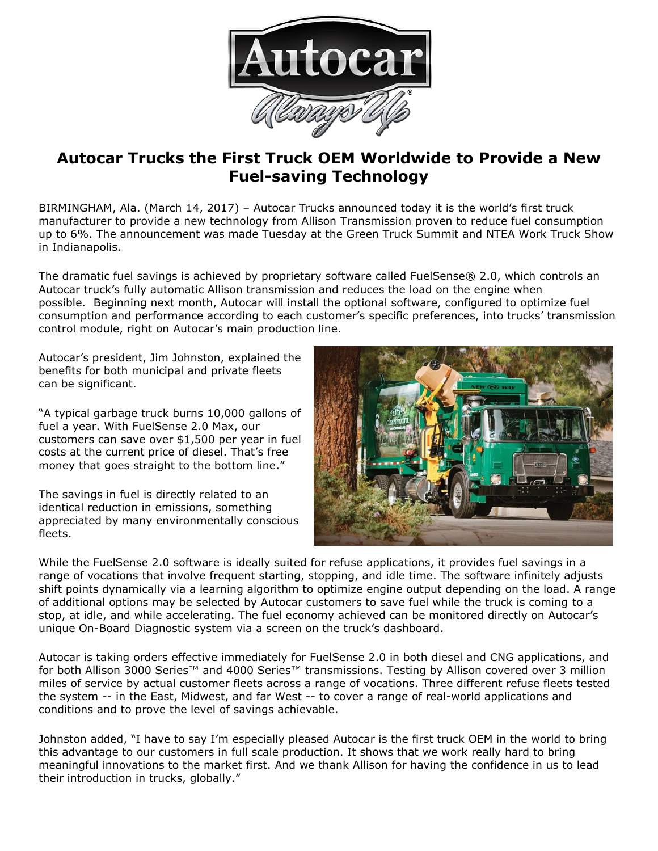

## **Autocar Trucks the First Truck OEM Worldwide to Provide a New Fuel-saving Technology**

BIRMINGHAM, Ala. (March 14, 2017) – Autocar Trucks announced today it is the world's first truck manufacturer to provide a new technology from Allison Transmission proven to reduce fuel consumption up to 6%. The announcement was made Tuesday at the Green Truck Summit and NTEA Work Truck Show in Indianapolis.

The dramatic fuel savings is achieved by proprietary software called FuelSense® 2.0, which controls an Autocar truck's fully automatic Allison transmission and reduces the load on the engine when possible. Beginning next month, Autocar will install the optional software, configured to optimize fuel consumption and performance according to each customer's specific preferences, into trucks' transmission control module, right on Autocar's main production line.

Autocar's president, Jim Johnston, explained the benefits for both municipal and private fleets can be significant.

"A typical garbage truck burns 10,000 gallons of fuel a year. With FuelSense 2.0 Max, our customers can save over \$1,500 per year in fuel costs at the current price of diesel. That's free money that goes straight to the bottom line."

The savings in fuel is directly related to an identical reduction in emissions, something appreciated by many environmentally conscious fleets.



While the FuelSense 2.0 software is ideally suited for refuse applications, it provides fuel savings in a range of vocations that involve frequent starting, stopping, and idle time. The software infinitely adjusts shift points dynamically via a learning algorithm to optimize engine output depending on the load. A range of additional options may be selected by Autocar customers to save fuel while the truck is coming to a stop, at idle, and while accelerating. The fuel economy achieved can be monitored directly on Autocar's unique On-Board Diagnostic system via a screen on the truck's dashboard.

Autocar is taking orders effective immediately for FuelSense 2.0 in both diesel and CNG applications, and for both Allison 3000 Series™ and 4000 Series™ transmissions. Testing by Allison covered over 3 million miles of service by actual customer fleets across a range of vocations. Three different refuse fleets tested the system -- in the East, Midwest, and far West -- to cover a range of real-world applications and conditions and to prove the level of savings achievable.

Johnston added, "I have to say I'm especially pleased Autocar is the first truck OEM in the world to bring this advantage to our customers in full scale production. It shows that we work really hard to bring meaningful innovations to the market first. And we thank Allison for having the confidence in us to lead their introduction in trucks, globally."